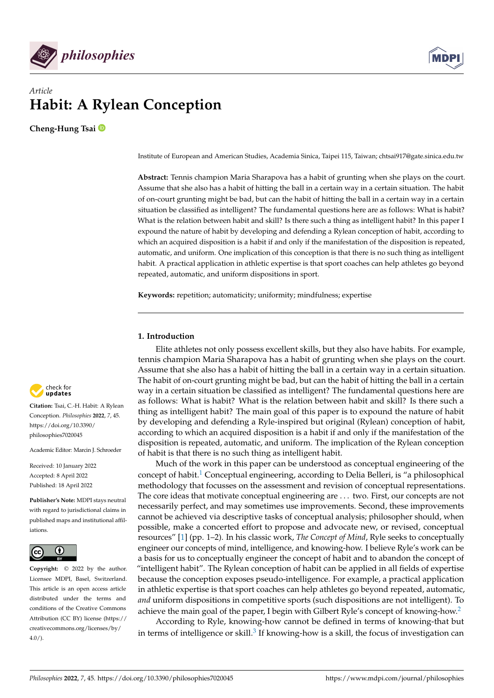

# *Article* **Habit: A Rylean Conception**

**Cheng-Hung Tsai**

Institute of European and American Studies, Academia Sinica, Taipei 115, Taiwan; chtsai917@gate.sinica.edu.tw

**Abstract:** Tennis champion Maria Sharapova has a habit of grunting when she plays on the court. Assume that she also has a habit of hitting the ball in a certain way in a certain situation. The habit of on-court grunting might be bad, but can the habit of hitting the ball in a certain way in a certain situation be classified as intelligent? The fundamental questions here are as follows: What is habit? What is the relation between habit and skill? Is there such a thing as intelligent habit? In this paper I expound the nature of habit by developing and defending a Rylean conception of habit, according to which an acquired disposition is a habit if and only if the manifestation of the disposition is repeated, automatic, and uniform. One implication of this conception is that there is no such thing as intelligent habit. A practical application in athletic expertise is that sport coaches can help athletes go beyond repeated, automatic, and uniform dispositions in sport.

**Keywords:** repetition; automaticity; uniformity; mindfulness; expertise

## **1. Introduction**

Elite athletes not only possess excellent skills, but they also have habits. For example, tennis champion Maria Sharapova has a habit of grunting when she plays on the court. Assume that she also has a habit of hitting the ball in a certain way in a certain situation. The habit of on-court grunting might be bad, but can the habit of hitting the ball in a certain way in a certain situation be classified as intelligent? The fundamental questions here are as follows: What is habit? What is the relation between habit and skill? Is there such a thing as intelligent habit? The main goal of this paper is to expound the nature of habit by developing and defending a Ryle-inspired but original (Rylean) conception of habit, according to which an acquired disposition is a habit if and only if the manifestation of the disposition is repeated, automatic, and uniform. The implication of the Rylean conception of habit is that there is no such thing as intelligent habit.

<span id="page-0-0"></span>Much of the work in this paper can be understood as conceptual engineering of the concept of habit.<sup>[1](#page-11-0)</sup> Conceptual engineering, according to Delia Belleri, is "a philosophical methodology that focusses on the assessment and revision of conceptual representations. The core ideas that motivate conceptual engineering are . . . two. First, our concepts are not necessarily perfect, and may sometimes use improvements. Second, these improvements cannot be achieved via descriptive tasks of conceptual analysis; philosopher should, when possible, make a concerted effort to propose and advocate new, or revised, conceptual resources" [\[1\]](#page-12-0) (pp. 1–2). In his classic work, *The Concept of Mind*, Ryle seeks to conceptually engineer our concepts of mind, intelligence, and knowing-how. I believe Ryle's work can be a basis for us to conceptually engineer the concept of habit and to abandon the concept of "intelligent habit". The Rylean conception of habit can be applied in all fields of expertise because the conception exposes pseudo-intelligence. For example, a practical application in athletic expertise is that sport coaches can help athletes go beyond repeated, automatic, *and* uniform dispositions in competitive sports (such dispositions are not intelligent). To achieve the main goal of the paper, I begin with Gilbert Ryle's concept of knowing-how.<sup>[2](#page-11-1)</sup>

<span id="page-0-2"></span><span id="page-0-1"></span>According to Ryle, knowing-how cannot be defined in terms of knowing-that but in terms of intelligence or skill. $^3$  $^3$  If knowing-how is a skill, the focus of investigation can



**Citation:** Tsai, C.-H. Habit: A Rylean Conception. *Philosophies* **2022**, *7*, 45. [https://doi.org/10.3390/](https://doi.org/10.3390/philosophies7020045) [philosophies7020045](https://doi.org/10.3390/philosophies7020045)

Academic Editor: Marcin J. Schroeder

Received: 10 January 2022 Accepted: 8 April 2022 Published: 18 April 2022

**Publisher's Note:** MDPI stays neutral with regard to jurisdictional claims in published maps and institutional affiliations.



**Copyright:** © 2022 by the author. Licensee MDPI, Basel, Switzerland. This article is an open access article distributed under the terms and conditions of the Creative Commons Attribution (CC BY) license [\(https://](https://creativecommons.org/licenses/by/4.0/) [creativecommons.org/licenses/by/](https://creativecommons.org/licenses/by/4.0/)  $4.0/$ ).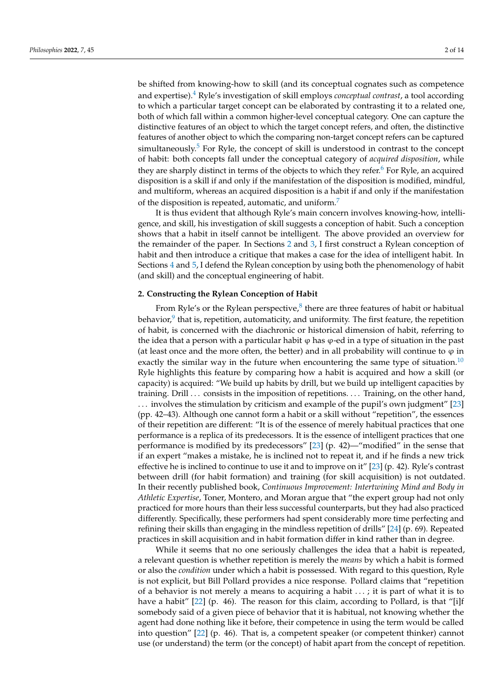<span id="page-1-2"></span><span id="page-1-1"></span>and expertise).[4](#page-11-3) Ryle's investigation of skill employs *conceptual contrast*, a tool according to which a particular target concept can be elaborated by contrasting it to a related one, both of which fall within a common higher-level conceptual category. One can capture the distinctive features of an object to which the target concept refers, and often, the distinctive features of another object to which the comparing non-target concept refers can be captured simultaneously.<sup>[5](#page-11-4)</sup> For Ryle, the concept of skill is understood in contrast to the concept of habit: both concepts fall under the conceptual category of *acquired disposition*, while they are sharply distinct in terms of the objects to which they refer.<sup>[6](#page-11-5)</sup> For Ryle, an acquired disposition is a skill if and only if the manifestation of the disposition is modified, mindful, and multiform, whereas an acquired disposition is a habit if and only if the manifestation of the disposition is repeated, automatic, and uniform.<sup>[7](#page-12-1)</sup>

<span id="page-1-4"></span><span id="page-1-3"></span>It is thus evident that although Ryle's main concern involves knowing-how, intelligence, and skill, his investigation of skill suggests a conception of habit. Such a conception shows that a habit in itself cannot be intelligent. The above provided an overview for the remainder of the paper. In Sections [2](#page-1-0) and [3,](#page-4-0) I first construct a Rylean conception of habit and then introduce a critique that makes a case for the idea of intelligent habit. In Sections [4](#page-5-0) and [5,](#page-8-0) I defend the Rylean conception by using both the phenomenology of habit (and skill) and the conceptual engineering of habit.

## <span id="page-1-5"></span><span id="page-1-0"></span>**2. Constructing the Rylean Conception of Habit**

<span id="page-1-7"></span><span id="page-1-6"></span>From Ryle's or the Rylean perspective, $8$  there are three features of habit or habitual behavior, $^9$  $^9$  that is, repetition, automaticity, and uniformity. The first feature, the repetition of habit, is concerned with the diachronic or historical dimension of habit, referring to the idea that a person with a particular habit  $\varphi$  has  $\varphi$ -ed in a type of situation in the past (at least once and the more often, the better) and in all probability will continue to  $\varphi$  in exactly the similar way in the future when encountering the same type of situation.<sup>[10](#page-12-4)</sup> Ryle highlights this feature by comparing how a habit is acquired and how a skill (or capacity) is acquired: "We build up habits by drill, but we build up intelligent capacities by training. Drill ... consists in the imposition of repetitions. ... Training, on the other hand, . . . involves the stimulation by criticism and example of the pupil's own judgment" [\[23\]](#page-12-5) (pp. 42–43). Although one cannot form a habit or a skill without "repetition", the essences of their repetition are different: "It is of the essence of merely habitual practices that one performance is a replica of its predecessors. It is the essence of intelligent practices that one performance is modified by its predecessors" [\[23\]](#page-12-5) (p. 42)—"modified" in the sense that if an expert "makes a mistake, he is inclined not to repeat it, and if he finds a new trick effective he is inclined to continue to use it and to improve on it" [\[23\]](#page-12-5) (p. 42). Ryle's contrast between drill (for habit formation) and training (for skill acquisition) is not outdated. In their recently published book, *Continuous Improvement: Intertwining Mind and Body in Athletic Expertise*, Toner, Montero, and Moran argue that "the expert group had not only practiced for more hours than their less successful counterparts, but they had also practiced differently. Specifically, these performers had spent considerably more time perfecting and refining their skills than engaging in the mindless repetition of drills" [\[24\]](#page-12-6) (p. 69). Repeated practices in skill acquisition and in habit formation differ in kind rather than in degree.

While it seems that no one seriously challenges the idea that a habit is repeated, a relevant question is whether repetition is merely the *means* by which a habit is formed or also the *condition* under which a habit is possessed. With regard to this question, Ryle is not explicit, but Bill Pollard provides a nice response. Pollard claims that "repetition of a behavior is not merely a means to acquiring a habit . . . ; it is part of what it is to have a habit" [\[22\]](#page-12-7) (p. 46). The reason for this claim, according to Pollard, is that "[i]f somebody said of a given piece of behavior that it is habitual, not knowing whether the agent had done nothing like it before, their competence in using the term would be called into question" [\[22\]](#page-12-7) (p. 46). That is, a competent speaker (or competent thinker) cannot use (or understand) the term (or the concept) of habit apart from the concept of repetition.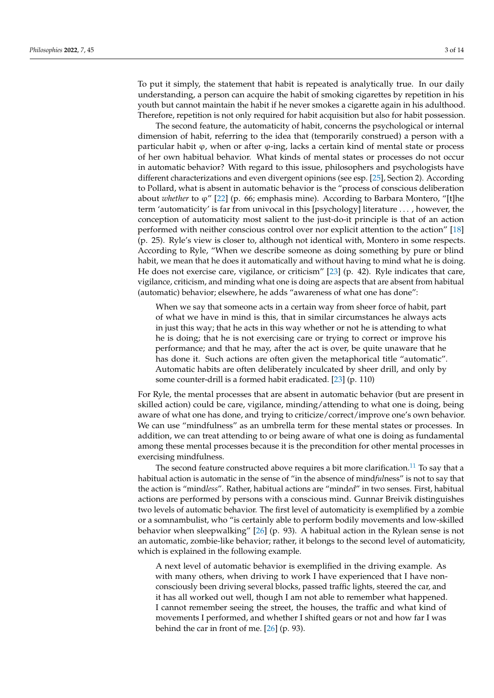To put it simply, the statement that habit is repeated is analytically true. In our daily understanding, a person can acquire the habit of smoking cigarettes by repetition in his youth but cannot maintain the habit if he never smokes a cigarette again in his adulthood. Therefore, repetition is not only required for habit acquisition but also for habit possession.

The second feature, the automaticity of habit, concerns the psychological or internal dimension of habit, referring to the idea that (temporarily construed) a person with a particular habit  $φ$ , when or after  $φ$ -ing, lacks a certain kind of mental state or process of her own habitual behavior. What kinds of mental states or processes do not occur in automatic behavior? With regard to this issue, philosophers and psychologists have different characterizations and even divergent opinions (see esp. [\[25\]](#page-12-8), Section 2). According to Pollard, what is absent in automatic behavior is the "process of conscious deliberation about *whether* to ϕ" [\[22\]](#page-12-7) (p. 66; emphasis mine). According to Barbara Montero, "[t]he term 'automaticity' is far from univocal in this [psychology] literature . . . , however, the conception of automaticity most salient to the just-do-it principle is that of an action performed with neither conscious control over nor explicit attention to the action" [\[18\]](#page-12-9) (p. 25). Ryle's view is closer to, although not identical with, Montero in some respects. According to Ryle, "When we describe someone as doing something by pure or blind habit, we mean that he does it automatically and without having to mind what he is doing. He does not exercise care, vigilance, or criticism" [\[23\]](#page-12-5) (p. 42). Ryle indicates that care, vigilance, criticism, and minding what one is doing are aspects that are absent from habitual (automatic) behavior; elsewhere, he adds "awareness of what one has done":

When we say that someone acts in a certain way from sheer force of habit, part of what we have in mind is this, that in similar circumstances he always acts in just this way; that he acts in this way whether or not he is attending to what he is doing; that he is not exercising care or trying to correct or improve his performance; and that he may, after the act is over, be quite unaware that he has done it. Such actions are often given the metaphorical title "automatic". Automatic habits are often deliberately inculcated by sheer drill, and only by some counter-drill is a formed habit eradicated. [\[23\]](#page-12-5) (p. 110)

For Ryle, the mental processes that are absent in automatic behavior (but are present in skilled action) could be care, vigilance, minding/attending to what one is doing, being aware of what one has done, and trying to criticize/correct/improve one's own behavior. We can use "mindfulness" as an umbrella term for these mental states or processes. In addition, we can treat attending to or being aware of what one is doing as fundamental among these mental processes because it is the precondition for other mental processes in exercising mindfulness.

<span id="page-2-0"></span>The second feature constructed above requires a bit more clarification.<sup>[11](#page-12-10)</sup> To say that a habitual action is automatic in the sense of "in the absence of mind*ful*ness" is not to say that the action is "mind*less*". Rather, habitual actions are "mind*ed*" in two senses. First, habitual actions are performed by persons with a conscious mind. Gunnar Breivik distinguishes two levels of automatic behavior. The first level of automaticity is exemplified by a zombie or a somnambulist, who "is certainly able to perform bodily movements and low-skilled behavior when sleepwalking" [\[26\]](#page-13-0) (p. 93). A habitual action in the Rylean sense is not an automatic, zombie-like behavior; rather, it belongs to the second level of automaticity, which is explained in the following example.

A next level of automatic behavior is exemplified in the driving example. As with many others, when driving to work I have experienced that I have nonconsciously been driving several blocks, passed traffic lights, steered the car, and it has all worked out well, though I am not able to remember what happened. I cannot remember seeing the street, the houses, the traffic and what kind of movements I performed, and whether I shifted gears or not and how far I was behind the car in front of me. [\[26\]](#page-13-0) (p. 93).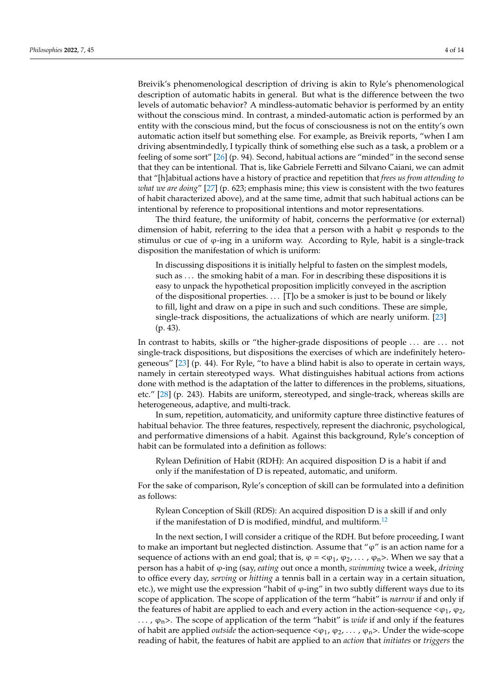Breivik's phenomenological description of driving is akin to Ryle's phenomenological description of automatic habits in general. But what is the difference between the two levels of automatic behavior? A mindless-automatic behavior is performed by an entity without the conscious mind. In contrast, a minded-automatic action is performed by an entity with the conscious mind, but the focus of consciousness is not on the entity's own automatic action itself but something else. For example, as Breivik reports, "when I am driving absentmindedly, I typically think of something else such as a task, a problem or a feeling of some sort" [\[26\]](#page-13-0) (p. 94). Second, habitual actions are "minded" in the second sense that they can be intentional. That is, like Gabriele Ferretti and Silvano Caiani, we can admit that "[h]abitual actions have a history of practice and repetition that *frees us from attending to what we are doing*" [\[27\]](#page-13-1) (p. 623; emphasis mine; this view is consistent with the two features of habit characterized above), and at the same time, admit that such habitual actions can be intentional by reference to propositional intentions and motor representations.

The third feature, the uniformity of habit, concerns the performative (or external) dimension of habit, referring to the idea that a person with a habit  $\varphi$  responds to the stimulus or cue of  $\varphi$ -ing in a uniform way. According to Ryle, habit is a single-track disposition the manifestation of which is uniform:

In discussing dispositions it is initially helpful to fasten on the simplest models, such as . . . the smoking habit of a man. For in describing these dispositions it is easy to unpack the hypothetical proposition implicitly conveyed in the ascription of the dispositional properties. . . . [T]o be a smoker is just to be bound or likely to fill, light and draw on a pipe in such and such conditions. These are simple, single-track dispositions, the actualizations of which are nearly uniform. [\[23\]](#page-12-5) (p. 43).

In contrast to habits, skills or "the higher-grade dispositions of people ... are ... not single-track dispositions, but dispositions the exercises of which are indefinitely heterogeneous" [\[23\]](#page-12-5) (p. 44). For Ryle, "to have a blind habit is also to operate in certain ways, namely in certain stereotyped ways. What distinguishes habitual actions from actions done with method is the adaptation of the latter to differences in the problems, situations, etc." [\[28\]](#page-13-2) (p. 243). Habits are uniform, stereotyped, and single-track, whereas skills are heterogeneous, adaptive, and multi-track.

In sum, repetition, automaticity, and uniformity capture three distinctive features of habitual behavior. The three features, respectively, represent the diachronic, psychological, and performative dimensions of a habit. Against this background, Ryle's conception of habit can be formulated into a definition as follows:

Rylean Definition of Habit (RDH): An acquired disposition D is a habit if and only if the manifestation of D is repeated, automatic, and uniform.

For the sake of comparison, Ryle's conception of skill can be formulated into a definition as follows:

<span id="page-3-0"></span>Rylean Conception of Skill (RDS): An acquired disposition D is a skill if and only if the manifestation of D is modified, mindful, and multiform.<sup>[12](#page-12-11)</sup>

In the next section, I will consider a critique of the RDH. But before proceeding, I want to make an important but neglected distinction. Assume that " $\varphi$ " is an action name for a sequence of actions with an end goal; that is,  $\varphi = \langle \varphi_1, \varphi_2, \dots, \varphi_n \rangle$ . When we say that a person has a habit of ϕ-ing (say, *eating* out once a month, *swimming* twice a week, *driving* to office every day, *serving* or *hitting* a tennis ball in a certain way in a certain situation, etc.), we might use the expression "habit of  $\varphi$ -ing" in two subtly different ways due to its scope of application. The scope of application of the term "habit" is *narrow* if and only if the features of habit are applied to each and every action in the action-sequence  $<\varphi_1$ ,  $\varphi_2$ ,  $\ldots$ ,  $\varphi_n$ >. The scope of application of the term "habit" is *wide* if and only if the features of habit are applied *outside* the action-sequence <ϕ1, ϕ2, . . . , ϕn>. Under the wide-scope reading of habit, the features of habit are applied to an *action* that *initiates* or *triggers* the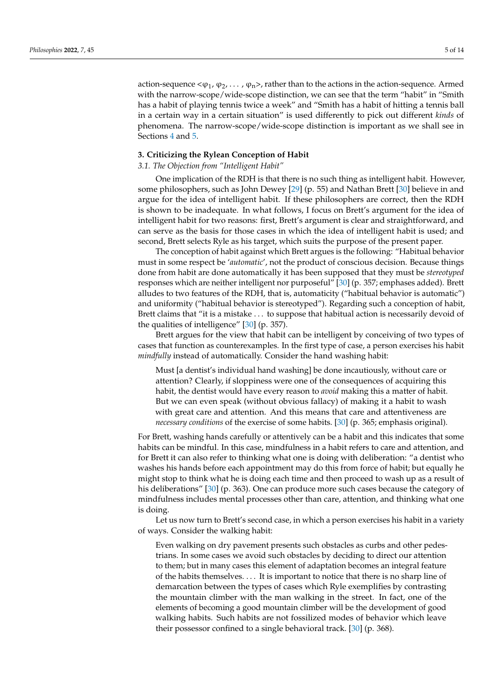action-sequence  $<\varphi_1$ ,  $\varphi_2$ , ...,  $\varphi_n$ , rather than to the actions in the action-sequence. Armed with the narrow-scope/wide-scope distinction, we can see that the term "habit" in "Smith has a habit of playing tennis twice a week" and "Smith has a habit of hitting a tennis ball in a certain way in a certain situation" is used differently to pick out different *kinds* of phenomena. The narrow-scope/wide-scope distinction is important as we shall see in Sections [4](#page-5-0) and [5.](#page-8-0)

#### <span id="page-4-0"></span>**3. Criticizing the Rylean Conception of Habit**

## *3.1. The Objection from "Intelligent Habit"*

One implication of the RDH is that there is no such thing as intelligent habit. However, some philosophers, such as John Dewey [\[29\]](#page-13-3) (p. 55) and Nathan Brett [\[30\]](#page-13-4) believe in and argue for the idea of intelligent habit. If these philosophers are correct, then the RDH is shown to be inadequate. In what follows, I focus on Brett's argument for the idea of intelligent habit for two reasons: first, Brett's argument is clear and straightforward, and can serve as the basis for those cases in which the idea of intelligent habit is used; and second, Brett selects Ryle as his target, which suits the purpose of the present paper.

The conception of habit against which Brett argues is the following: "Habitual behavior must in some respect be '*automatic*', not the product of conscious decision. Because things done from habit are done automatically it has been supposed that they must be *stereotyped* responses which are neither intelligent nor purposeful" [\[30\]](#page-13-4) (p. 357; emphases added). Brett alludes to two features of the RDH, that is, automaticity ("habitual behavior is automatic") and uniformity ("habitual behavior is stereotyped"). Regarding such a conception of habit, Brett claims that "it is a mistake . . . to suppose that habitual action is necessarily devoid of the qualities of intelligence" [\[30\]](#page-13-4) (p. 357).

Brett argues for the view that habit can be intelligent by conceiving of two types of cases that function as counterexamples. In the first type of case, a person exercises his habit *mindfully* instead of automatically. Consider the hand washing habit:

Must [a dentist's individual hand washing] be done incautiously, without care or attention? Clearly, if sloppiness were one of the consequences of acquiring this habit, the dentist would have every reason to *avoid* making this a matter of habit. But we can even speak (without obvious fallacy) of making it a habit to wash with great care and attention. And this means that care and attentiveness are *necessary conditions* of the exercise of some habits. [\[30\]](#page-13-4) (p. 365; emphasis original).

For Brett, washing hands carefully or attentively can be a habit and this indicates that some habits can be mindful. In this case, mindfulness in a habit refers to care and attention, and for Brett it can also refer to thinking what one is doing with deliberation: "a dentist who washes his hands before each appointment may do this from force of habit; but equally he might stop to think what he is doing each time and then proceed to wash up as a result of his deliberations" [\[30\]](#page-13-4) (p. 363). One can produce more such cases because the category of mindfulness includes mental processes other than care, attention, and thinking what one is doing.

Let us now turn to Brett's second case, in which a person exercises his habit in a variety of ways. Consider the walking habit:

Even walking on dry pavement presents such obstacles as curbs and other pedestrians. In some cases we avoid such obstacles by deciding to direct our attention to them; but in many cases this element of adaptation becomes an integral feature of the habits themselves. . . . It is important to notice that there is no sharp line of demarcation between the types of cases which Ryle exemplifies by contrasting the mountain climber with the man walking in the street. In fact, one of the elements of becoming a good mountain climber will be the development of good walking habits. Such habits are not fossilized modes of behavior which leave their possessor confined to a single behavioral track. [\[30\]](#page-13-4) (p. 368).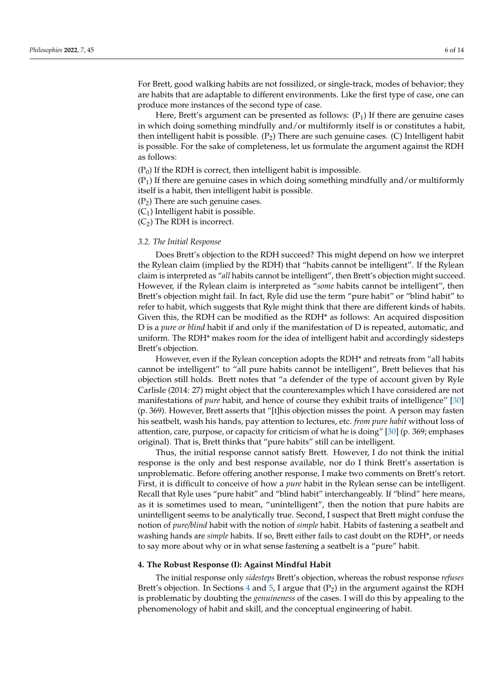For Brett, good walking habits are not fossilized, or single-track, modes of behavior; they are habits that are adaptable to different environments. Like the first type of case, one can produce more instances of the second type of case.

Here, Brett's argument can be presented as follows:  $(P_1)$  If there are genuine cases in which doing something mindfully and/or multiformly itself is or constitutes a habit, then intelligent habit is possible.  $(P_2)$  There are such genuine cases. (C) Intelligent habit is possible. For the sake of completeness, let us formulate the argument against the RDH as follows:

 $(P_0)$  If the RDH is correct, then intelligent habit is impossible.

 $(P_1)$  If there are genuine cases in which doing something mindfully and/or multiformly itself is a habit, then intelligent habit is possible.

 $(P_2)$  There are such genuine cases.

 $(C_1)$  Intelligent habit is possible.

 $(C_2)$  The RDH is incorrect.

### *3.2. The Initial Response*

Does Brett's objection to the RDH succeed? This might depend on how we interpret the Rylean claim (implied by the RDH) that "habits cannot be intelligent". If the Rylean claim is interpreted as "*all* habits cannot be intelligent", then Brett's objection might succeed. However, if the Rylean claim is interpreted as "*some* habits cannot be intelligent", then Brett's objection might fail. In fact, Ryle did use the term "pure habit" or "blind habit" to refer to habit, which suggests that Ryle might think that there are different kinds of habits. Given this, the RDH can be modified as the RDH\* as follows: An acquired disposition D is a *pure or blind* habit if and only if the manifestation of D is repeated, automatic, and uniform. The RDH\* makes room for the idea of intelligent habit and accordingly sidesteps Brett's objection.

However, even if the Rylean conception adopts the RDH\* and retreats from "all habits cannot be intelligent" to "all pure habits cannot be intelligent", Brett believes that his objection still holds. Brett notes that "a defender of the type of account given by Ryle Carlisle (2014: 27) might object that the counterexamples which I have considered are not manifestations of *pure* habit, and hence of course they exhibit traits of intelligence" [\[30\]](#page-13-4) (p. 369). However, Brett asserts that "[t]his objection misses the point. A person may fasten his seatbelt, wash his hands, pay attention to lectures, etc. *from pure habit* without loss of attention, care, purpose, or capacity for criticism of what he is doing" [\[30\]](#page-13-4) (p. 369; emphases original). That is, Brett thinks that "pure habits" still can be intelligent.

Thus, the initial response cannot satisfy Brett. However, I do not think the initial response is the only and best response available, nor do I think Brett's assertation is unproblematic. Before offering another response, I make two comments on Brett's retort. First, it is difficult to conceive of how a *pure* habit in the Rylean sense can be intelligent. Recall that Ryle uses "pure habit" and "blind habit" interchangeably. If "blind" here means, as it is sometimes used to mean, "unintelligent", then the notion that pure habits are unintelligent seems to be analytically true. Second, I suspect that Brett might confuse the notion of *pure/blind* habit with the notion of *simple* habit. Habits of fastening a seatbelt and washing hands are *simple* habits. If so, Brett either fails to cast doubt on the RDH\*, or needs to say more about why or in what sense fastening a seatbelt is a "pure" habit.

#### <span id="page-5-0"></span>**4. The Robust Response (I): Against Mindful Habit**

The initial response only *sidesteps* Brett's objection, whereas the robust response *refuses* Brett's objection. In Sections [4](#page-5-0) and [5,](#page-8-0) I argue that  $(P_2)$  in the argument against the RDH is problematic by doubting the *genuineness* of the cases. I will do this by appealing to the phenomenology of habit and skill, and the conceptual engineering of habit.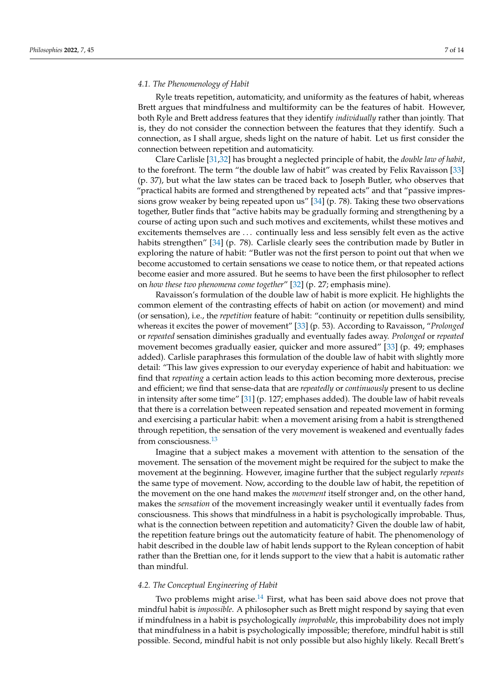#### <span id="page-6-0"></span>*4.1. The Phenomenology of Habit*

Ryle treats repetition, automaticity, and uniformity as the features of habit, whereas Brett argues that mindfulness and multiformity can be the features of habit. However, both Ryle and Brett address features that they identify *individually* rather than jointly. That is, they do not consider the connection between the features that they identify. Such a connection, as I shall argue, sheds light on the nature of habit. Let us first consider the connection between repetition and automaticity.

Clare Carlisle [\[31](#page-13-5)[,32\]](#page-13-6) has brought a neglected principle of habit, the *double law of habit*, to the forefront. The term "the double law of habit" was created by Felix Ravaisson [\[33\]](#page-13-7) (p. 37), but what the law states can be traced back to Joseph Butler, who observes that "practical habits are formed and strengthened by repeated acts" and that "passive impressions grow weaker by being repeated upon us" [\[34\]](#page-13-8) (p. 78). Taking these two observations together, Butler finds that "active habits may be gradually forming and strengthening by a course of acting upon such and such motives and excitements, whilst these motives and excitements themselves are . . . continually less and less sensibly felt even as the active habits strengthen" [\[34\]](#page-13-8) (p. 78). Carlisle clearly sees the contribution made by Butler in exploring the nature of habit: "Butler was not the first person to point out that when we become accustomed to certain sensations we cease to notice them, or that repeated actions become easier and more assured. But he seems to have been the first philosopher to reflect on *how these two phenomena come together*" [\[32\]](#page-13-6) (p. 27; emphasis mine).

Ravaisson's formulation of the double law of habit is more explicit. He highlights the common element of the contrasting effects of habit on action (or movement) and mind (or sensation), i.e., the *repetition* feature of habit: "continuity or repetition dulls sensibility, whereas it excites the power of movement" [\[33\]](#page-13-7) (p. 53). According to Ravaisson, "*Prolonged* or *repeated* sensation diminishes gradually and eventually fades away. *Prolonged* or *repeated* movement becomes gradually easier, quicker and more assured" [\[33\]](#page-13-7) (p. 49; emphases added). Carlisle paraphrases this formulation of the double law of habit with slightly more detail: "This law gives expression to our everyday experience of habit and habituation: we find that *repeating* a certain action leads to this action becoming more dexterous, precise and efficient; we find that sense-data that are *repeatedly* or *continuously* present to us decline in intensity after some time" [\[31\]](#page-13-5) (p. 127; emphases added). The double law of habit reveals that there is a correlation between repeated sensation and repeated movement in forming and exercising a particular habit: when a movement arising from a habit is strengthened through repetition, the sensation of the very movement is weakened and eventually fades from consciousness.[13](#page-12-12)

<span id="page-6-2"></span>Imagine that a subject makes a movement with attention to the sensation of the movement. The sensation of the movement might be required for the subject to make the movement at the beginning. However, imagine further that the subject regularly *repeats* the same type of movement. Now, according to the double law of habit, the repetition of the movement on the one hand makes the *movement* itself stronger and, on the other hand, makes the *sensation* of the movement increasingly weaker until it eventually fades from consciousness. This shows that mindfulness in a habit is psychologically improbable. Thus, what is the connection between repetition and automaticity? Given the double law of habit, the repetition feature brings out the automaticity feature of habit. The phenomenology of habit described in the double law of habit lends support to the Rylean conception of habit rather than the Brettian one, for it lends support to the view that a habit is automatic rather than mindful.

#### <span id="page-6-1"></span>*4.2. The Conceptual Engineering of Habit*

<span id="page-6-3"></span>Two problems might arise. $14$  First, what has been said above does not prove that mindful habit is *impossible*. A philosopher such as Brett might respond by saying that even if mindfulness in a habit is psychologically *improbable*, this improbability does not imply that mindfulness in a habit is psychologically impossible; therefore, mindful habit is still possible. Second, mindful habit is not only possible but also highly likely. Recall Brett's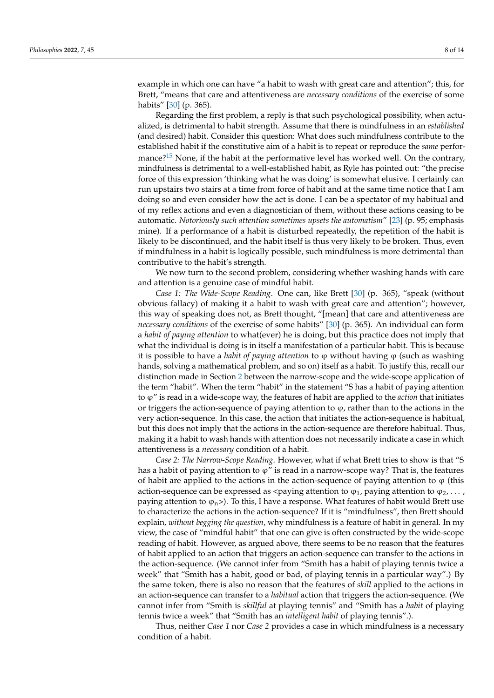example in which one can have "a habit to wash with great care and attention"; this, for Brett, "means that care and attentiveness are *necessary conditions* of the exercise of some habits" [\[30\]](#page-13-4) (p. 365).

<span id="page-7-0"></span>Regarding the first problem, a reply is that such psychological possibility, when actualized, is detrimental to habit strength. Assume that there is mindfulness in an *established* (and desired) habit. Consider this question: What does such mindfulness contribute to the established habit if the constitutive aim of a habit is to repeat or reproduce the *same* perfor-mance?<sup>[15](#page-12-14)</sup> None, if the habit at the performative level has worked well. On the contrary, mindfulness is detrimental to a well-established habit, as Ryle has pointed out: "the precise force of this expression 'thinking what he was doing' is somewhat elusive. I certainly can run upstairs two stairs at a time from force of habit and at the same time notice that I am doing so and even consider how the act is done. I can be a spectator of my habitual and of my reflex actions and even a diagnostician of them, without these actions ceasing to be automatic. *Notoriously such attention sometimes upsets the automatism*" [\[23\]](#page-12-5) (p. 95; emphasis mine). If a performance of a habit is disturbed repeatedly, the repetition of the habit is likely to be discontinued, and the habit itself is thus very likely to be broken. Thus, even if mindfulness in a habit is logically possible, such mindfulness is more detrimental than contributive to the habit's strength.

We now turn to the second problem, considering whether washing hands with care and attention is a genuine case of mindful habit.

*Case 1: The Wide-Scope Reading*. One can, like Brett [\[30\]](#page-13-4) (p. 365), "speak (without obvious fallacy) of making it a habit to wash with great care and attention"; however, this way of speaking does not, as Brett thought, "[mean] that care and attentiveness are *necessary conditions* of the exercise of some habits" [\[30\]](#page-13-4) (p. 365). An individual can form a *habit of paying attention* to what(ever) he is doing, but this practice does not imply that what the individual is doing is in itself a manifestation of a particular habit. This is because it is possible to have a *habit of paying attention* to ϕ without having ϕ (such as washing hands, solving a mathematical problem, and so on) itself as a habit. To justify this, recall our distinction made in Section [2](#page-1-0) between the narrow-scope and the wide-scope application of the term "habit". When the term "habit" in the statement "S has a habit of paying attention to ϕ" is read in a wide-scope way, the features of habit are applied to the *action* that initiates or triggers the action-sequence of paying attention to  $\varphi$ , rather than to the actions in the very action-sequence. In this case, the action that initiates the action-sequence is habitual, but this does not imply that the actions in the action-sequence are therefore habitual. Thus, making it a habit to wash hands with attention does not necessarily indicate a case in which attentiveness is a *necessary* condition of a habit.

*Case 2: The Narrow-Scope Reading*. However, what if what Brett tries to show is that "S has a habit of paying attention to  $\varphi$ " is read in a narrow-scope way? That is, the features of habit are applied to the actions in the action-sequence of paying attention to  $\varphi$  (this action-sequence can be expressed as <paying attention to  $\varphi_1$ , paying attention to  $\varphi_2, \ldots$ , paying attention to  $\varphi_n$ >). To this, I have a response. What features of habit would Brett use to characterize the actions in the action-sequence? If it is "mindfulness", then Brett should explain, *without begging the question*, why mindfulness is a feature of habit in general. In my view, the case of "mindful habit" that one can give is often constructed by the wide-scope reading of habit. However, as argued above, there seems to be no reason that the features of habit applied to an action that triggers an action-sequence can transfer to the actions in the action-sequence. (We cannot infer from "Smith has a habit of playing tennis twice a week" that "Smith has a habit, good or bad, of playing tennis in a particular way".) By the same token, there is also no reason that the features of *skill* applied to the actions in an action-sequence can transfer to a *habitual* action that triggers the action-sequence. (We cannot infer from "Smith is *skillful* at playing tennis" and "Smith has a *habit* of playing tennis twice a week" that "Smith has an *intelligent habit* of playing tennis".).

Thus, neither *Case 1* nor *Case 2* provides a case in which mindfulness is a necessary condition of a habit.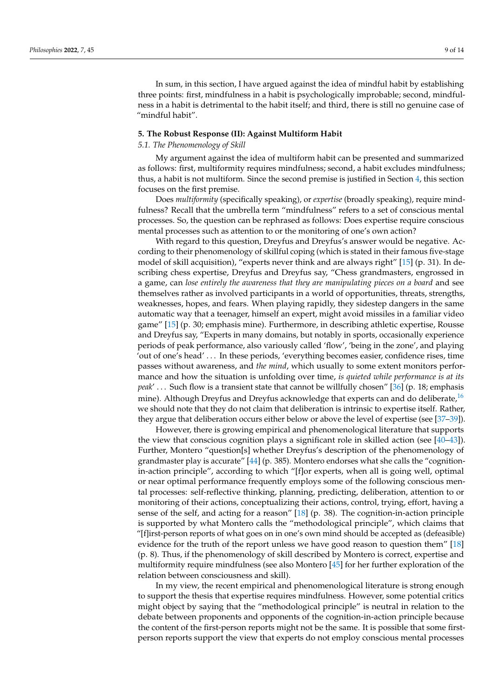In sum, in this section, I have argued against the idea of mindful habit by establishing three points: first, mindfulness in a habit is psychologically improbable; second, mindfulness in a habit is detrimental to the habit itself; and third, there is still no genuine case of "mindful habit".

#### <span id="page-8-0"></span>**5. The Robust Response (II): Against Multiform Habit**

#### *5.1. The Phenomenology of Skill*

My argument against the idea of multiform habit can be presented and summarized as follows: first, multiformity requires mindfulness; second, a habit excludes mindfulness; thus, a habit is not multiform. Since the second premise is justified in Section [4,](#page-5-0) this section focuses on the first premise.

Does *multiformity* (specifically speaking), or *expertise* (broadly speaking), require mindfulness? Recall that the umbrella term "mindfulness" refers to a set of conscious mental processes. So, the question can be rephrased as follows: Does expertise require conscious mental processes such as attention to or the monitoring of one's own action?

With regard to this question, Dreyfus and Dreyfus's answer would be negative. According to their phenomenology of skillful coping (which is stated in their famous five-stage model of skill acquisition), "experts never think and are always right" [\[15\]](#page-12-15) (p. 31). In describing chess expertise, Dreyfus and Dreyfus say, "Chess grandmasters, engrossed in a game, can *lose entirely the awareness that they are manipulating pieces on a board* and see themselves rather as involved participants in a world of opportunities, threats, strengths, weaknesses, hopes, and fears. When playing rapidly, they sidestep dangers in the same automatic way that a teenager, himself an expert, might avoid missiles in a familiar video game" [\[15\]](#page-12-15) (p. 30; emphasis mine). Furthermore, in describing athletic expertise, Rousse and Dreyfus say, "Experts in many domains, but notably in sports, occasionally experience periods of peak performance, also variously called 'flow', 'being in the zone', and playing 'out of one's head' . . . In these periods, 'everything becomes easier, confidence rises, time passes without awareness, and *the mind*, which usually to some extent monitors performance and how the situation is unfolding over time, *is quieted while performance is at its peak*' . . . Such flow is a transient state that cannot be willfully chosen" [\[36\]](#page-13-9) (p. 18; emphasis mine). Although Dreyfus and Dreyfus acknowledge that experts can and do deliberate,<sup>[16](#page-12-16)</sup> we should note that they do not claim that deliberation is intrinsic to expertise itself. Rather, they argue that deliberation occurs either below or above the level of expertise (see [\[37](#page-13-10)[–39\]](#page-13-11)).

<span id="page-8-1"></span>However, there is growing empirical and phenomenological literature that supports the view that conscious cognition plays a significant role in skilled action (see [\[40–](#page-13-12)[43\]](#page-13-13)). Further, Montero "question[s] whether Dreyfus's description of the phenomenology of grandmaster play is accurate" [\[44\]](#page-13-14) (p. 385). Montero endorses what she calls the "cognitionin-action principle", according to which "[f]or experts, when all is going well, optimal or near optimal performance frequently employs some of the following conscious mental processes: self-reflective thinking, planning, predicting, deliberation, attention to or monitoring of their actions, conceptualizing their actions, control, trying, effort, having a sense of the self, and acting for a reason" [\[18\]](#page-12-9) (p. 38). The cognition-in-action principle is supported by what Montero calls the "methodological principle", which claims that "[f]irst-person reports of what goes on in one's own mind should be accepted as (defeasible) evidence for the truth of the report unless we have good reason to question them" [\[18\]](#page-12-9) (p. 8). Thus, if the phenomenology of skill described by Montero is correct, expertise and multiformity require mindfulness (see also Montero [\[45\]](#page-13-15) for her further exploration of the relation between consciousness and skill).

In my view, the recent empirical and phenomenological literature is strong enough to support the thesis that expertise requires mindfulness. However, some potential critics might object by saying that the "methodological principle" is neutral in relation to the debate between proponents and opponents of the cognition-in-action principle because the content of the first-person reports might not be the same. It is possible that some firstperson reports support the view that experts do not employ conscious mental processes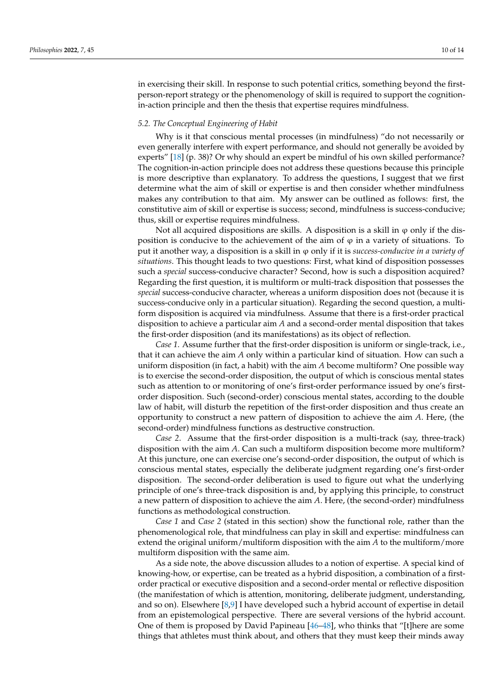in exercising their skill. In response to such potential critics, something beyond the firstperson-report strategy or the phenomenology of skill is required to support the cognitionin-action principle and then the thesis that expertise requires mindfulness.

## *5.2. The Conceptual Engineering of Habit*

Why is it that conscious mental processes (in mindfulness) "do not necessarily or even generally interfere with expert performance, and should not generally be avoided by experts" [\[18\]](#page-12-9) (p. 38)? Or why should an expert be mindful of his own skilled performance? The cognition-in-action principle does not address these questions because this principle is more descriptive than explanatory. To address the questions, I suggest that we first determine what the aim of skill or expertise is and then consider whether mindfulness makes any contribution to that aim. My answer can be outlined as follows: first, the constitutive aim of skill or expertise is success; second, mindfulness is success-conducive; thus, skill or expertise requires mindfulness.

Not all acquired dispositions are skills. A disposition is a skill in  $\varphi$  only if the disposition is conducive to the achievement of the aim of  $\varphi$  in a variety of situations. To put it another way, a disposition is a skill in ϕ only if it is *success-conducive in a variety of situations*. This thought leads to two questions: First, what kind of disposition possesses such a *special* success-conducive character? Second, how is such a disposition acquired? Regarding the first question, it is multiform or multi-track disposition that possesses the *special* success-conducive character, whereas a uniform disposition does not (because it is success-conducive only in a particular situation). Regarding the second question, a multiform disposition is acquired via mindfulness. Assume that there is a first-order practical disposition to achieve a particular aim *A* and a second-order mental disposition that takes the first-order disposition (and its manifestations) as its object of reflection.

*Case 1*. Assume further that the first-order disposition is uniform or single-track, i.e., that it can achieve the aim *A* only within a particular kind of situation. How can such a uniform disposition (in fact, a habit) with the aim *A* become multiform? One possible way is to exercise the second-order disposition, the output of which is conscious mental states such as attention to or monitoring of one's first-order performance issued by one's firstorder disposition. Such (second-order) conscious mental states, according to the double law of habit, will disturb the repetition of the first-order disposition and thus create an opportunity to construct a new pattern of disposition to achieve the aim *A*. Here, (the second-order) mindfulness functions as destructive construction.

*Case 2*. Assume that the first-order disposition is a multi-track (say, three-track) disposition with the aim *A*. Can such a multiform disposition become more multiform? At this juncture, one can exercise one's second-order disposition, the output of which is conscious mental states, especially the deliberate judgment regarding one's first-order disposition. The second-order deliberation is used to figure out what the underlying principle of one's three-track disposition is and, by applying this principle, to construct a new pattern of disposition to achieve the aim *A*. Here, (the second-order) mindfulness functions as methodological construction.

*Case 1* and *Case 2* (stated in this section) show the functional role, rather than the phenomenological role, that mindfulness can play in skill and expertise: mindfulness can extend the original uniform/multiform disposition with the aim *A* to the multiform/more multiform disposition with the same aim.

As a side note, the above discussion alludes to a notion of expertise. A special kind of knowing-how, or expertise, can be treated as a hybrid disposition, a combination of a firstorder practical or executive disposition and a second-order mental or reflective disposition (the manifestation of which is attention, monitoring, deliberate judgment, understanding, and so on). Elsewhere [\[8](#page-12-17)[,9\]](#page-12-18) I have developed such a hybrid account of expertise in detail from an epistemological perspective. There are several versions of the hybrid account. One of them is proposed by David Papineau [\[46–](#page-13-16)[48\]](#page-13-17), who thinks that "[t]here are some things that athletes must think about, and others that they must keep their minds away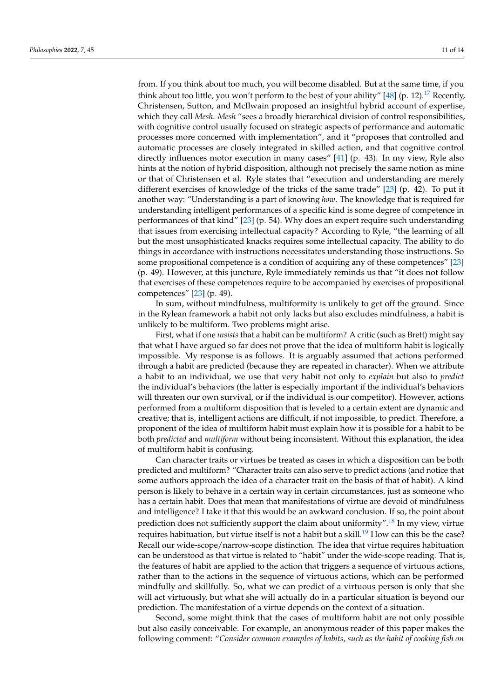<span id="page-10-0"></span>from. If you think about too much, you will become disabled. But at the same time, if you think about too little, you won't perform to the best of your ability" [\[48\]](#page-13-17) (p. 12).<sup>[17](#page-12-19)</sup> Recently, Christensen, Sutton, and McIlwain proposed an insightful hybrid account of expertise, which they call *Mesh*. *Mesh* "sees a broadly hierarchical division of control responsibilities, with cognitive control usually focused on strategic aspects of performance and automatic processes more concerned with implementation", and it "proposes that controlled and automatic processes are closely integrated in skilled action, and that cognitive control directly influences motor execution in many cases" [\[41\]](#page-13-18) (p. 43). In my view, Ryle also hints at the notion of hybrid disposition, although not precisely the same notion as mine or that of Christensen et al. Ryle states that "execution and understanding are merely different exercises of knowledge of the tricks of the same trade" [\[23\]](#page-12-5) (p. 42). To put it another way: "Understanding is a part of knowing *how*. The knowledge that is required for understanding intelligent performances of a specific kind is some degree of competence in performances of that kind" [\[23\]](#page-12-5) (p. 54). Why does an expert require such understanding that issues from exercising intellectual capacity? According to Ryle, "the learning of all but the most unsophisticated knacks requires some intellectual capacity. The ability to do things in accordance with instructions necessitates understanding those instructions. So some propositional competence is a condition of acquiring any of these competences" [\[23\]](#page-12-5) (p. 49). However, at this juncture, Ryle immediately reminds us that "it does not follow that exercises of these competences require to be accompanied by exercises of propositional competences" [\[23\]](#page-12-5) (p. 49).

In sum, without mindfulness, multiformity is unlikely to get off the ground. Since in the Rylean framework a habit not only lacks but also excludes mindfulness, a habit is unlikely to be multiform. Two problems might arise.

First, what if one *insists* that a habit can be multiform? A critic (such as Brett) might say that what I have argued so far does not prove that the idea of multiform habit is logically impossible. My response is as follows. It is arguably assumed that actions performed through a habit are predicted (because they are repeated in character). When we attribute a habit to an individual, we use that very habit not only to *explain* but also to *predict* the individual's behaviors (the latter is especially important if the individual's behaviors will threaten our own survival, or if the individual is our competitor). However, actions performed from a multiform disposition that is leveled to a certain extent are dynamic and creative; that is, intelligent actions are difficult, if not impossible, to predict. Therefore, a proponent of the idea of multiform habit must explain how it is possible for a habit to be both *predicted* and *multiform* without being inconsistent. Without this explanation, the idea of multiform habit is confusing.

<span id="page-10-2"></span><span id="page-10-1"></span>Can character traits or virtues be treated as cases in which a disposition can be both predicted and multiform? "Character traits can also serve to predict actions (and notice that some authors approach the idea of a character trait on the basis of that of habit). A kind person is likely to behave in a certain way in certain circumstances, just as someone who has a certain habit. Does that mean that manifestations of virtue are devoid of mindfulness and intelligence? I take it that this would be an awkward conclusion. If so, the point about prediction does not sufficiently support the claim about uniformity".<sup>[18](#page-12-20)</sup> In my view, virtue requires habituation, but virtue itself is not a habit but a skill.<sup>[19](#page-12-21)</sup> How can this be the case? Recall our wide-scope/narrow-scope distinction. The idea that virtue requires habituation can be understood as that virtue is related to "habit" under the wide-scope reading. That is, the features of habit are applied to the action that triggers a sequence of virtuous actions, rather than to the actions in the sequence of virtuous actions, which can be performed mindfully and skillfully. So, what we can predict of a virtuous person is only that she will act virtuously, but what she will actually do in a particular situation is beyond our prediction. The manifestation of a virtue depends on the context of a situation.

Second, some might think that the cases of multiform habit are not only possible but also easily conceivable. For example, an anonymous reader of this paper makes the following comment: "*Consider common examples of habits, such as the habit of cooking fish on*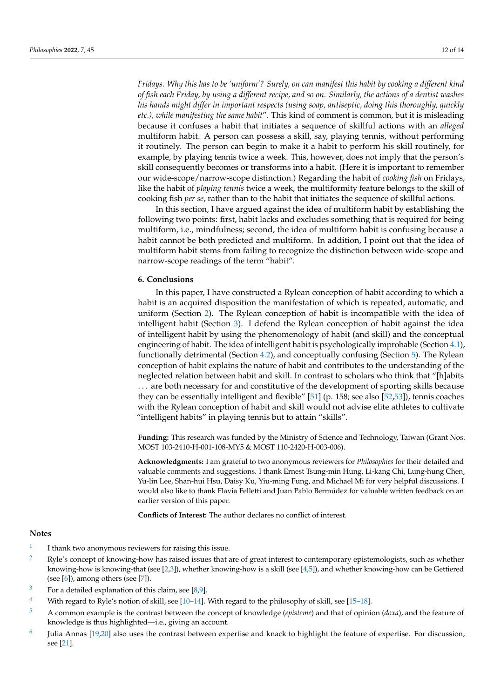*Fridays. Why this has to be 'uniform'? Surely, on can manifest this habit by cooking a different kind of fish each Friday, by using a different recipe, and so on. Similarly, the actions of a dentist washes his hands might differ in important respects (using soap, antiseptic, doing this thoroughly, quickly etc.), while manifesting the same habit*". This kind of comment is common, but it is misleading because it confuses a habit that initiates a sequence of skillful actions with an *alleged* multiform habit. A person can possess a skill, say, playing tennis, without performing it routinely. The person can begin to make it a habit to perform his skill routinely, for example, by playing tennis twice a week. This, however, does not imply that the person's skill consequently becomes or transforms into a habit. (Here it is important to remember our wide-scope/narrow-scope distinction.) Regarding the habit of *cooking fish* on Fridays, like the habit of *playing tennis* twice a week, the multiformity feature belongs to the skill of cooking fish *per se*, rather than to the habit that initiates the sequence of skillful actions.

In this section, I have argued against the idea of multiform habit by establishing the following two points: first, habit lacks and excludes something that is required for being multiform, i.e., mindfulness; second, the idea of multiform habit is confusing because a habit cannot be both predicted and multiform. In addition, I point out that the idea of multiform habit stems from failing to recognize the distinction between wide-scope and narrow-scope readings of the term "habit".

## **6. Conclusions**

In this paper, I have constructed a Rylean conception of habit according to which a habit is an acquired disposition the manifestation of which is repeated, automatic, and uniform (Section [2\)](#page-1-0). The Rylean conception of habit is incompatible with the idea of intelligent habit (Section [3\)](#page-4-0). I defend the Rylean conception of habit against the idea of intelligent habit by using the phenomenology of habit (and skill) and the conceptual engineering of habit. The idea of intelligent habit is psychologically improbable (Section [4.1\)](#page-6-0), functionally detrimental (Section [4.2\)](#page-6-1), and conceptually confusing (Section [5\)](#page-8-0). The Rylean conception of habit explains the nature of habit and contributes to the understanding of the neglected relation between habit and skill. In contrast to scholars who think that "[h]abits . . . are both necessary for and constitutive of the development of sporting skills because they can be essentially intelligent and flexible" [\[51\]](#page-13-19) (p. 158; see also [\[52](#page-13-20)[,53\]](#page-13-21)), tennis coaches with the Rylean conception of habit and skill would not advise elite athletes to cultivate "intelligent habits" in playing tennis but to attain "skills".

**Funding:** This research was funded by the Ministry of Science and Technology, Taiwan (Grant Nos. MOST 103-2410-H-001-108-MY5 & MOST 110-2420-H-003-006).

**Acknowledgments:** I am grateful to two anonymous reviewers for *Philosophies* for their detailed and valuable comments and suggestions. I thank Ernest Tsung-min Hung, Li-kang Chi, Lung-hung Chen, Yu-lin Lee, Shan-hui Hsu, Daisy Ku, Yiu-ming Fung, and Michael Mi for very helpful discussions. I would also like to thank Flavia Felletti and Juan Pablo Bermúdez for valuable written feedback on an earlier version of this paper.

**Conflicts of Interest:** The author declares no conflict of interest.

#### **Notes**

- <span id="page-11-0"></span>[1](#page-0-0) I thank two anonymous reviewers for raising this issue.
- <span id="page-11-1"></span><sup>[2](#page-0-1)</sup> Ryle's concept of knowing-how has raised issues that are of great interest to contemporary epistemologists, such as whether knowing-how is knowing-that (see [\[2,](#page-12-22)[3\]](#page-12-23)), whether knowing-how is a skill (see [\[4](#page-12-24)[,5\]](#page-12-25)), and whether knowing-how can be Gettiered (see  $[6]$ ), among others (see  $[7]$ ).
- <span id="page-11-2"></span><sup>[3](#page-0-2)</sup> For a detailed explanation of this claim, see [\[8](#page-12-17)[,9\]](#page-12-18).
- <span id="page-11-3"></span><sup>[4](#page-1-1)</sup> With regard to Ryle's notion of skill, see [\[10](#page-12-28)[–14\]](#page-12-29). With regard to the philosophy of skill, see [\[15](#page-12-15)[–18\]](#page-12-9).
- <span id="page-11-4"></span>[5](#page-1-2) A common example is the contrast between the concept of knowledge (*episteme*) and that of opinion (*doxa*), and the feature of knowledge is thus highlighted—i.e., giving an account.
- <span id="page-11-5"></span>[6](#page-1-3) Julia Annas [\[19,](#page-12-30)[20\]](#page-12-31) also uses the contrast between expertise and knack to highlight the feature of expertise. For discussion, see [\[21\]](#page-12-32).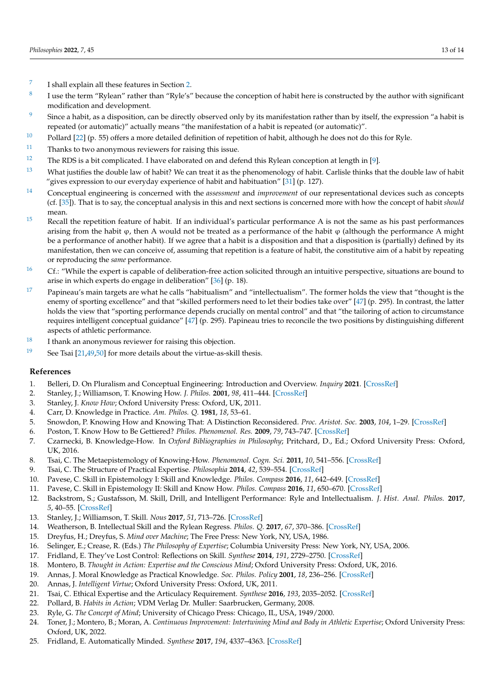- <span id="page-12-1"></span>[7](#page-1-4) I shall explain all these features in Section [2.](#page-1-0)
- <span id="page-12-2"></span>[8](#page-1-5) I use the term "Rylean" rather than "Ryle's" because the conception of habit here is constructed by the author with significant modification and development.
- <span id="page-12-3"></span><sup>[9](#page-1-6)</sup> Since a habit, as a disposition, can be directly observed only by its manifestation rather than by itself, the expression "a habit is repeated (or automatic)" actually means "the manifestation of a habit is repeated (or automatic)".
- <span id="page-12-4"></span> $10$  Pollard [\[22\]](#page-12-7) (p. 55) offers a more detailed definition of repetition of habit, although he does not do this for Ryle.
- <span id="page-12-10"></span> $11$  Thanks to two anonymous reviewers for raising this issue.
- <span id="page-12-11"></span>[12](#page-3-0) The RDS is a bit complicated. I have elaborated on and defend this Rylean conception at length in [\[9\]](#page-12-18).
- <span id="page-12-12"></span> $13$  What justifies the double law of habit? We can treat it as the phenomenology of habit. Carlisle thinks that the double law of habit "gives expression to our everyday experience of habit and habituation"  $[31]$  (p. 127).
- <span id="page-12-13"></span>[14](#page-6-3) Conceptual engineering is concerned with the *assessment* and *improvement* of our representational devices such as concepts (cf. [\[35\]](#page-13-22)). That is to say, the conceptual analysis in this and next sections is concerned more with how the concept of habit *should* mean.
- <span id="page-12-14"></span><sup>[15](#page-7-0)</sup> Recall the repetition feature of habit. If an individual's particular performance A is not the same as his past performances arising from the habit  $\varphi$ , then A would not be treated as a performance of the habit  $\varphi$  (although the performance A might be a performance of another habit). If we agree that a habit is a disposition and that a disposition is (partially) defined by its manifestation, then we can conceive of, assuming that repetition is a feature of habit, the constitutive aim of a habit by repeating or reproducing the *same* performance.
- <span id="page-12-16"></span><sup>[16](#page-8-1)</sup> Cf.: "While the expert is capable of deliberation-free action solicited through an intuitive perspective, situations are bound to arise in which experts do engage in deliberation" [\[36\]](#page-13-9) (p. 18).
- <span id="page-12-19"></span> $17$  Papineau's main targets are what he calls "habitualism" and "intellectualism". The former holds the view that "thought is the enemy of sporting excellence" and that "skilled performers need to let their bodies take over" [\[47\]](#page-13-23) (p. 295). In contrast, the latter holds the view that "sporting performance depends crucially on mental control" and that "the tailoring of action to circumstance requires intelligent conceptual guidance" [\[47\]](#page-13-23) (p. 295). Papineau tries to reconcile the two positions by distinguishing different aspects of athletic performance.
- <span id="page-12-20"></span> $18$  I thank an anonymous reviewer for raising this objection.
- <span id="page-12-21"></span><sup>[19](#page-10-2)</sup> See Tsai  $[21,49,50]$  $[21,49,50]$  $[21,49,50]$  for more details about the virtue-as-skill thesis.

## **References**

- <span id="page-12-0"></span>1. Belleri, D. On Pluralism and Conceptual Engineering: Introduction and Overview. *Inquiry* **2021**. [\[CrossRef\]](http://doi.org/10.1080/0020174X.2021.1983457)
- <span id="page-12-22"></span>2. Stanley, J.; Williamson, T. Knowing How. *J. Philos.* **2001**, *98*, 411–444. [\[CrossRef\]](http://doi.org/10.2307/2678403)
- <span id="page-12-23"></span>3. Stanley, J. *Know How*; Oxford University Press: Oxford, UK, 2011.
- <span id="page-12-24"></span>4. Carr, D. Knowledge in Practice. *Am. Philos. Q.* **1981**, *18*, 53–61.
- <span id="page-12-25"></span>5. Snowdon, P. Knowing How and Knowing That: A Distinction Reconsidered. *Proc. Aristot. Soc.* **2003**, *104*, 1–29. [\[CrossRef\]](http://doi.org/10.1111/1467-9264.t01-1-00001)
- <span id="page-12-26"></span>6. Poston, T. Know How to Be Gettiered? *Philos. Phenomenol. Res.* **2009**, *79*, 743–747. [\[CrossRef\]](http://doi.org/10.1111/j.1933-1592.2009.00301.x)
- <span id="page-12-27"></span>7. Czarnecki, B. Knowledge-How. In *Oxford Bibliographies in Philosophy*; Pritchard, D., Ed.; Oxford University Press: Oxford, UK, 2016.
- <span id="page-12-17"></span>8. Tsai, C. The Metaepistemology of Knowing-How. *Phenomenol. Cogn. Sci.* **2011**, *10*, 541–556. [\[CrossRef\]](http://doi.org/10.1007/s11097-011-9208-0)
- <span id="page-12-18"></span>9. Tsai, C. The Structure of Practical Expertise. *Philosophia* **2014**, *42*, 539–554. [\[CrossRef\]](http://doi.org/10.1007/s11406-013-9513-7)
- <span id="page-12-28"></span>10. Pavese, C. Skill in Epistemology I: Skill and Knowledge. *Philos. Compass* **2016**, *11*, 642–649. [\[CrossRef\]](http://doi.org/10.1111/phc3.12359)
- 11. Pavese, C. Skill in Epistemology II: Skill and Know How. *Philos. Compass* **2016**, *11*, 650–670. [\[CrossRef\]](http://doi.org/10.1111/phc3.12364)
- 12. Backstrom, S.; Gustafsson, M. Skill, Drill, and Intelligent Performance: Ryle and Intellectualism. *J. Hist. Anal. Philos.* **2017**, *5*, 40–55. [\[CrossRef\]](http://doi.org/10.15173/jhap.v5i5.3205)
- 13. Stanley, J.; Williamson, T. Skill. *Nous* **2017**, *51*, 713–726. [\[CrossRef\]](http://doi.org/10.1111/nous.12144)
- <span id="page-12-29"></span>14. Weatherson, B. Intellectual Skill and the Rylean Regress. *Philos. Q.* **2017**, *67*, 370–386. [\[CrossRef\]](http://doi.org/10.1093/pq/pqw051)
- <span id="page-12-15"></span>15. Dreyfus, H.; Dreyfus, S. *Mind over Machine*; The Free Press: New York, NY, USA, 1986.
- 16. Selinger, E.; Crease, R. (Eds.) *The Philosophy of Expertise*; Columbia University Press: New York, NY, USA, 2006.
- 17. Fridland, E. They've Lost Control: Reflections on Skill. *Synthese* **2014**, *191*, 2729–2750. [\[CrossRef\]](http://doi.org/10.1007/s11229-014-0411-8)
- <span id="page-12-9"></span>18. Montero, B. *Thought in Action: Expertise and the Conscious Mind*; Oxford University Press: Oxford, UK, 2016.
- <span id="page-12-30"></span>19. Annas, J. Moral Knowledge as Practical Knowledge. *Soc. Philos. Policy* **2001**, *18*, 236–256. [\[CrossRef\]](http://doi.org/10.1017/S0265052500002971)
- <span id="page-12-31"></span>20. Annas, J. *Intelligent Virtue*; Oxford University Press: Oxford, UK, 2011.
- <span id="page-12-32"></span>21. Tsai, C. Ethical Expertise and the Articulacy Requirement. *Synthese* **2016**, *193*, 2035–2052. [\[CrossRef\]](http://doi.org/10.1007/s11229-015-0828-8)
- <span id="page-12-7"></span>22. Pollard, B. *Habits in Action*; VDM Verlag Dr. Muller: Saarbrucken, Germany, 2008.
- <span id="page-12-5"></span>23. Ryle, G. *The Concept of Mind*; University of Chicago Press: Chicago, IL, USA, 1949/2000.
- <span id="page-12-6"></span>24. Toner, J.; Montero, B.; Moran, A. *Continuous Improvement: Intertwining Mind and Body in Athletic Expertise*; Oxford University Press: Oxford, UK, 2022.
- <span id="page-12-8"></span>25. Fridland, E. Automatically Minded. *Synthese* **2017**, *194*, 4337–4363. [\[CrossRef\]](http://doi.org/10.1007/s11229-014-0617-9)